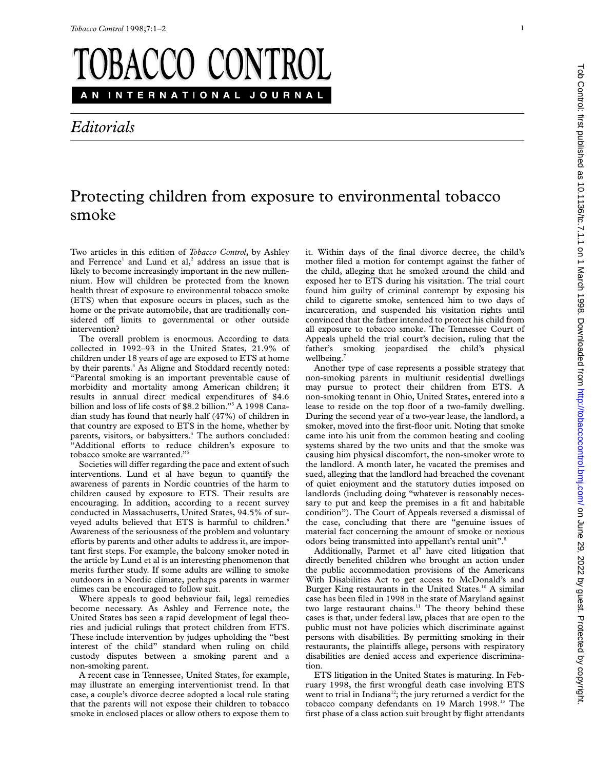## **OBACCO CONTROL** AN INTERNATIONAL JOURNAL

## *Editorials*

## Protecting children from exposure to environmental tobacco smoke

Two articles in this edition of *Tobacco Control*, by Ashley and Ferrence<sup>1</sup> and Lund et al,<sup>2</sup> address an issue that is likely to become increasingly important in the new millennium. How will children be protected from the known health threat of exposure to environmental tobacco smoke (ETS) when that exposure occurs in places, such as the home or the private automobile, that are traditionally considered off limits to governmental or other outside intervention?

The overall problem is enormous. According to data collected in 1992–93 in the United States, 21.9% of children under 18 years of age are exposed to ETS at home by their parents.<sup>3</sup> As Aligne and Stoddard recently noted: "Parental smoking is an important preventable cause of morbidity and mortality among American children; it results in annual direct medical expenditures of \$4.6 billion and loss of life costs of \$8.2 billion."5 A 1998 Canadian study has found that nearly half (47%) of children in that country are exposed to ETS in the home, whether by parents, visitors, or babysitters.<sup>4</sup> The authors concluded: "Additional efforts to reduce children's exposure to tobacco smoke are warranted."5

Societies will differ regarding the pace and extent of such interventions. Lund et al have begun to quantify the awareness of parents in Nordic countries of the harm to children caused by exposure to ETS. Their results are encouraging. In addition, according to a recent survey conducted in Massachusetts, United States, 94.5% of surveyed adults believed that ETS is harmful to children.<sup>6</sup> Awareness of the seriousness of the problem and voluntary efforts by parents and other adults to address it, are important first steps. For example, the balcony smoker noted in the article by Lund et al is an interesting phenomenon that merits further study. If some adults are willing to smoke outdoors in a Nordic climate, perhaps parents in warmer climes can be encouraged to follow suit.

Where appeals to good behaviour fail, legal remedies become necessary. As Ashley and Ferrence note, the United States has seen a rapid development of legal theories and judicial rulings that protect children from ETS. These include intervention by judges upholding the "best interest of the child" standard when ruling on child custody disputes between a smoking parent and a non-smoking parent.

A recent case in Tennessee, United States, for example, may illustrate an emerging interventionist trend. In that case, a couple's divorce decree adopted a local rule stating that the parents will not expose their children to tobacco smoke in enclosed places or allow others to expose them to

it. Within days of the final divorce decree, the child's mother filed a motion for contempt against the father of the child, alleging that he smoked around the child and exposed her to ETS during his visitation. The trial court found him guilty of criminal contempt by exposing his child to cigarette smoke, sentenced him to two days of incarceration, and suspended his visitation rights until convinced that the father intended to protect his child from all exposure to tobacco smoke. The Tennessee Court of Appeals upheld the trial court's decision, ruling that the father's smoking jeopardised the child's physical wellbeing.<sup>7</sup>

Another type of case represents a possible strategy that non-smoking parents in multiunit residential dwellings may pursue to protect their children from ETS. A non-smoking tenant in Ohio, United States, entered into a lease to reside on the top floor of a two-family dwelling. During the second year of a two-year lease, the landlord, a smoker, moved into the first-floor unit. Noting that smoke came into his unit from the common heating and cooling systems shared by the two units and that the smoke was causing him physical discomfort, the non-smoker wrote to the landlord. A month later, he vacated the premises and sued, alleging that the landlord had breached the covenant of quiet enjoyment and the statutory duties imposed on landlords (including doing "whatever is reasonably necessary to put and keep the premises in a fit and habitable condition"). The Court of Appeals reversed a dismissal of the case, concluding that there are "genuine issues of material fact concerning the amount of smoke or noxious odors being transmitted into appellant's rental unit".<sup>8</sup>

Additionally, Parmet et al<sup>9</sup> have cited litigation that directly benefited children who brought an action under the public accommodation provisions of the Americans With Disabilities Act to get access to McDonald's and Burger King restaurants in the United States.<sup>10</sup> A similar case has been filed in 1998 in the state of Maryland against two large restaurant chains.<sup>11</sup> The theory behind these cases is that, under federal law, places that are open to the public must not have policies which discriminate against persons with disabilities. By permitting smoking in their restaurants, the plaintiffs allege, persons with respiratory disabilities are denied access and experience discrimination.

ETS litigation in the United States is maturing. In February 1998, the first wrongful death case involving ETS went to trial in Indiana<sup>12</sup>; the jury returned a verdict for the tobacco company defendants on 19 March 1998.<sup>13</sup> The first phase of a class action suit brought by flight attendants